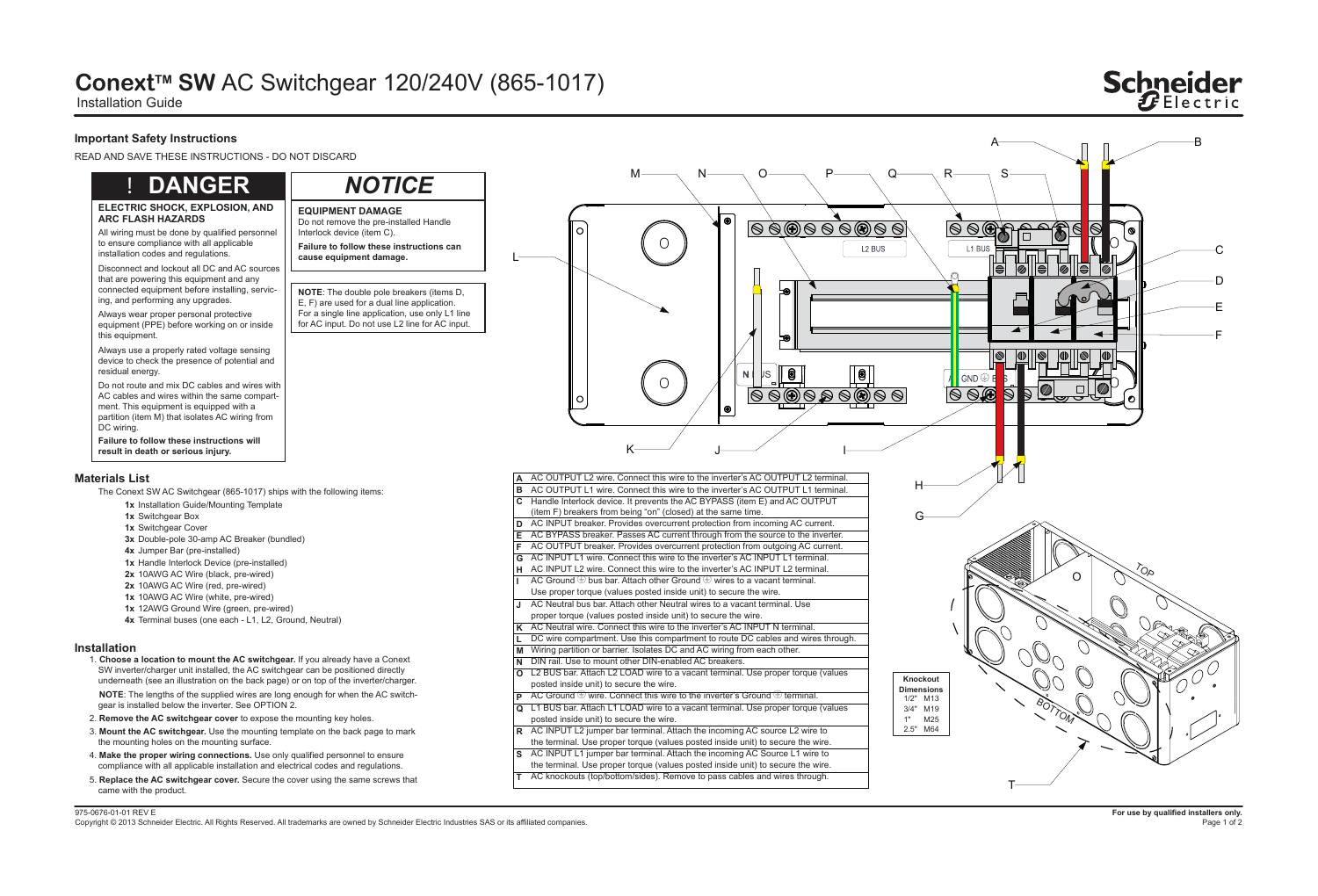Copyright © 2013 Schneider Electric. All Rights Reserved. All trademarks are owned by Schneider Electric Industries SAS or its affiliated companies.

# **ConextTM SW** AC Switchgear 120/240V (865-1017)

Installation Guide

## **Important Safety Instructions**

READ AND SAVE THESE INSTRUCTIONS - DO NOT DISCARD

### **Installation**

### **Materials List**

1. **Choose a location to mount the AC switchgear.** If you already have a Conext SW inverter/charger unit installed, the AC switchgear can be positioned directly underneath (see an illustration on the back page) or on top of the inverter/charger.

 **NOTE**: The lengths of the supplied wires are long enough for when the AC switchgear is installed below the inverter. See OPTION 2.

Do not route and mix DC cables and wires with AC cables and wires within the same compartment. This equipment is equipped with a partition (item M) that isolates AC wiring from DC wiring.

- 2. **Remove the AC switchgear cover** to expose the mounting key holes.
- 3. **Mount the AC switchgear.** Use the mounting template on the back page to mark the mounting holes on the mounting surface.
- 4. **Make the proper wiring connections.** Use only qualified personnel to ensure compliance with all applicable installation and electrical codes and regulations.
- 5. **Replace the AC switchgear cover.** Secure the cover using the same screws that came with the product.

The Conext SW AC Switchgear (865-1017) ships with the following items:

#### **ELECTRIC SHOCK, EXPLOSION, AND ARC FLASH HAZARDS**

**Failure to follow these instructions will result in death or serious injury.**

All wiring must be done by qualified personnel to ensure compliance with all applicable installation codes and regulations.

Disconnect and lockout all DC and AC sources that are powering this equipment and any connected equipment before installing, servicing, and performing any upgrades.

Always wear proper personal protective equipment (PPE) before working on or inside this equipment.

Always use a properly rated voltage sensing device to check the presence of potential and residual energy.

## ! **DANGER**

**EQUIPMENT DAMAGE**

**Failure to follow these instructions can** 

**cause equipment damage.**

Do not remove the pre-installed Handle

Interlock device (item C).

**NOTE**: The double pole breakers (items D, E, F) are used for a dual line application. For a single line application, use only L1 line for AC input. Do not use L2 line for AC input.

*NOTICE*

L



- **1x** Installation Guide/Mounting Template
- **1x** Switchgear Box
- **1x** Switchgear Cover
- **3x** Double-pole 30-amp AC Breaker (bundled)
- **4x** Jumper Bar (pre-installed)
- **1x** Handle Interlock Device (pre-installed)
- **2x** 10AWG AC Wire (black, pre-wired)
- **2x** 10AWG AC Wire (red, pre-wired)
- **1x** 10AWG AC Wire (white, pre-wired)
- **1x** 12AWG Ground Wire (green, pre-wired)
- **4x** Terminal buses (one each L1, L2, Ground, Neutral)

|          | A AC OUTPUT L2 wire. Connect this wire to the inverter's AC OUTPUT L2 terminal.                      |
|----------|------------------------------------------------------------------------------------------------------|
| B        | AC OUTPUT L1 wire. Connect this wire to the inverter's AC OUTPUT L1 terminal.                        |
|          | C Handle Interlock device. It prevents the AC BYPASS (item E) and AC OUTPUT                          |
|          | (item F) breakers from being "on" (closed) at the same time.                                         |
|          | D AC INPUT breaker. Provides overcurrent protection from incoming AC current.                        |
|          | E AC BYPASS breaker. Passes AC current through from the source to the inverter.                      |
| F.       | AC OUTPUT breaker. Provides overcurrent protection from outgoing AC current.                         |
|          | G AC INPUT L1 wire. Connect this wire to the inverter's AC INPUT L1 terminal.                        |
|          | H AC INPUT L2 wire. Connect this wire to the inverter's AC INPUT L2 terminal.                        |
| L.       | AC Ground $\bigcircled{E}$ bus bar. Attach other Ground $\bigcircled{E}$ wires to a vacant terminal. |
|          | Use proper torque (values posted inside unit) to secure the wire.                                    |
| J        | AC Neutral bus bar. Attach other Neutral wires to a vacant terminal. Use                             |
|          | proper torque (values posted inside unit) to secure the wire.                                        |
|          | K AC Neutral wire. Connect this wire to the inverter's AC INPUT N terminal.                          |
| L.       | DC wire compartment. Use this compartment to route DC cables and wires through.                      |
|          | M Wiring partition or barrier. Isolates DC and AC wiring from each other.                            |
| N        | DIN rail. Use to mount other DIN-enabled AC breakers.                                                |
| $\Omega$ | L2 BUS bar. Attach L2 LOAD wire to a vacant terminal. Use proper torque (values                      |
|          | posted inside unit) to secure the wire.                                                              |
|          | <b>P</b> AC Ground $\oplus$ wire. Connect this wire to the inverter's Ground $\oplus$ terminal.      |
| Q        | L1 BUS bar. Attach L1 LOAD wire to a vacant terminal. Use proper torque (values                      |
|          | posted inside unit) to secure the wire.                                                              |
|          | R AC INPUT L2 jumper bar terminal. Attach the incoming AC source L2 wire to                          |
|          | the terminal. Use proper torque (values posted inside unit) to secure the wire.                      |
| S.       | AC INPUT L1 jumper bar terminal. Attach the incoming AC Source L1 wire to                            |
|          | the terminal. Use proper torque (values posted inside unit) to secure the wire.                      |
|          |                                                                                                      |

**T**